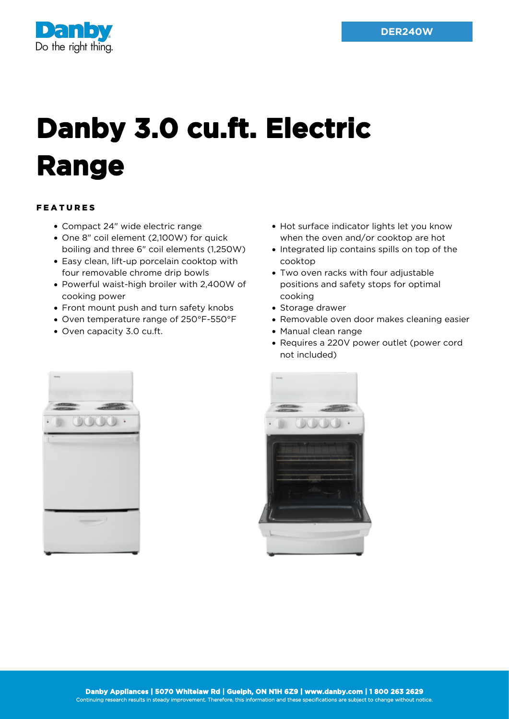

## **Danby 3.0 cu.ft. Electric Range**

## FEATURES

- Compact 24" wide electric range
- One 8" coil element (2,100W) for quick boiling and three 6" coil elements (1,250W)
- Easy clean, lift-up porcelain cooktop with four removable chrome drip bowls
- Powerful waist-high broiler with 2,400W of cooking power
- Front mount push and turn safety knobs
- Oven temperature range of 250°F-550°F
- Oven capacity 3.0 cu.ft.
- Hot surface indicator lights let you know when the oven and/or cooktop are hot
- Integrated lip contains spills on top of the cooktop
- Two oven racks with four adjustable positions and safety stops for optimal cooking
- Storage drawer
- Removable oven door makes cleaning easier
- Manual clean range
- Requires a 220V power outlet (power cord not included)